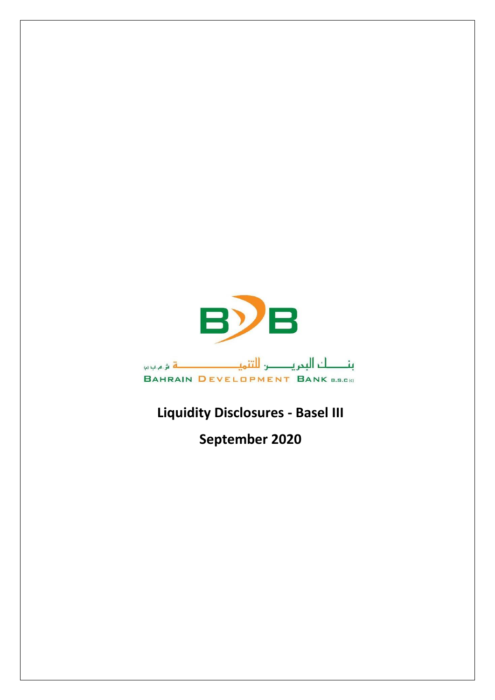

## **Liquidity Disclosures - Basel III**

**September 2020**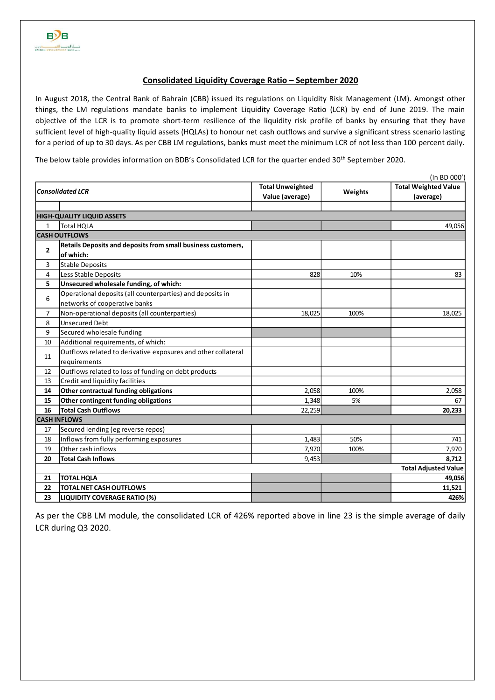## **Consolidated Liquidity Coverage Ratio – September 2020**

In August 2018, the Central Bank of Bahrain (CBB) issued its regulations on Liquidity Risk Management (LM). Amongst other things, the LM regulations mandate banks to implement Liquidity Coverage Ratio (LCR) by end of June 2019. The main objective of the LCR is to promote short-term resilience of the liquidity risk profile of banks by ensuring that they have sufficient level of high-quality liquid assets (HQLAs) to honour net cash outflows and survive a significant stress scenario lasting for a period of up to 30 days. As per CBB LM regulations, banks must meet the minimum LCR of not less than 100 percent daily.

The below table provides information on BDB's Consolidated LCR for the quarter ended 30<sup>th</sup> September 2020.

| (In BD 000')            |                                                               |                         |         |                             |  |  |  |  |  |
|-------------------------|---------------------------------------------------------------|-------------------------|---------|-----------------------------|--|--|--|--|--|
| <b>Consolidated LCR</b> |                                                               | <b>Total Unweighted</b> | Weights | <b>Total Weighted Value</b> |  |  |  |  |  |
|                         |                                                               | Value (average)         |         | (average)                   |  |  |  |  |  |
|                         | <b>HIGH-QUALITY LIQUID ASSETS</b>                             |                         |         |                             |  |  |  |  |  |
| $\mathbf{1}$            | <b>Total HQLA</b>                                             |                         |         | 49,056                      |  |  |  |  |  |
|                         | <b>CASH OUTFLOWS</b>                                          |                         |         |                             |  |  |  |  |  |
| $\overline{2}$          | Retails Deposits and deposits from small business customers,  |                         |         |                             |  |  |  |  |  |
|                         | of which:                                                     |                         |         |                             |  |  |  |  |  |
| 3                       | Stable Deposits                                               |                         |         |                             |  |  |  |  |  |
| 4                       | Less Stable Deposits                                          | 828                     | 10%     | 83                          |  |  |  |  |  |
| 5                       | Unsecured wholesale funding, of which:                        |                         |         |                             |  |  |  |  |  |
| 6                       | Operational deposits (all counterparties) and deposits in     |                         |         |                             |  |  |  |  |  |
|                         | networks of cooperative banks                                 |                         |         |                             |  |  |  |  |  |
| $\overline{7}$          | Non-operational deposits (all counterparties)                 | 18,025                  | 100%    | 18,025                      |  |  |  |  |  |
| 8                       | <b>Unsecured Debt</b>                                         |                         |         |                             |  |  |  |  |  |
| 9                       | Secured wholesale funding                                     |                         |         |                             |  |  |  |  |  |
| 10                      | Additional requirements, of which:                            |                         |         |                             |  |  |  |  |  |
| 11                      | Outflows related to derivative exposures and other collateral |                         |         |                             |  |  |  |  |  |
|                         | requirements                                                  |                         |         |                             |  |  |  |  |  |
| 12                      | Outflows related to loss of funding on debt products          |                         |         |                             |  |  |  |  |  |
| 13                      | Credit and liquidity facilities                               |                         |         |                             |  |  |  |  |  |
| 14                      | Other contractual funding obligations                         | 2,058                   | 100%    | 2,058                       |  |  |  |  |  |
| 15                      | Other contingent funding obligations                          | 1,348                   | 5%      | 67                          |  |  |  |  |  |
| 16                      | <b>Total Cash Outflows</b>                                    | 22,259                  |         | 20,233                      |  |  |  |  |  |
|                         | <b>CASH INFLOWS</b>                                           |                         |         |                             |  |  |  |  |  |
| 17                      | Secured lending (eg reverse repos)                            |                         |         |                             |  |  |  |  |  |
| 18                      | Inflows from fully performing exposures                       | 1,483                   | 50%     | 741                         |  |  |  |  |  |
| 19                      | Other cash inflows                                            | 7,970                   | 100%    | 7,970                       |  |  |  |  |  |
| 20                      | <b>Total Cash Inflows</b>                                     | 9,453                   |         | 8,712                       |  |  |  |  |  |
|                         |                                                               |                         |         | <b>Total Adjusted Value</b> |  |  |  |  |  |
| 21                      | <b>TOTAL HQLA</b>                                             |                         |         | 49,056                      |  |  |  |  |  |
| 22                      | <b>TOTAL NET CASH OUTFLOWS</b>                                |                         |         | 11,521                      |  |  |  |  |  |
| 23                      | <b>LIQUIDITY COVERAGE RATIO (%)</b>                           |                         |         | 426%                        |  |  |  |  |  |

As per the CBB LM module, the consolidated LCR of 426% reported above in line 23 is the simple average of daily LCR during Q3 2020.